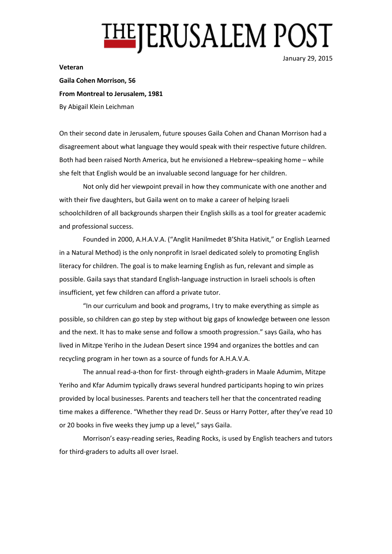## **THEJERUSALEM POST**

**Veteran**

January 29, 2015

**Gaila Cohen Morrison, 56 From Montreal to Jerusalem, 1981** By Abigail Klein Leichman

On their second date in Jerusalem, future spouses Gaila Cohen and Chanan Morrison had a disagreement about what language they would speak with their respective future children. Both had been raised North America, but he envisioned a Hebrew–speaking home – while she felt that English would be an invaluable second language for her children.

Not only did her viewpoint prevail in how they communicate with one another and with their five daughters, but Gaila went on to make a career of helping Israeli schoolchildren of all backgrounds sharpen their English skills as a tool for greater academic and professional success.

Founded in 2000, A.H.A.V.A. ("Anglit Hanilmedet B'Shita Hativit," or English Learned in a Natural Method) is the only nonprofit in Israel dedicated solely to promoting English literacy for children. The goal is to make learning English as fun, relevant and simple as possible. Gaila says that standard English-language instruction in Israeli schools is often insufficient, yet few children can afford a private tutor.

"In our curriculum and book and programs, I try to make everything as simple as possible, so children can go step by step without big gaps of knowledge between one lesson and the next. It has to make sense and follow a smooth progression." says Gaila, who has lived in Mitzpe Yeriho in the Judean Desert since 1994 and organizes the bottles and can recycling program in her town as a source of funds for A.H.A.V.A.

The annual read-a-thon for first- through eighth-graders in Maale Adumim, Mitzpe Yeriho and Kfar Adumim typically draws several hundred participants hoping to win prizes provided by local businesses. Parents and teachers tell her that the concentrated reading time makes a difference. "Whether they read Dr. Seuss or Harry Potter, after they've read 10 or 20 books in five weeks they jump up a level," says Gaila.

Morrison's easy-reading series, Reading Rocks, is used by English teachers and tutors for third-graders to adults all over Israel.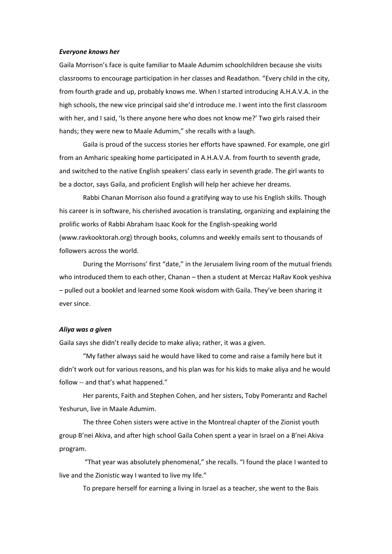## *Everyone knows her*

Gaila Morrison's face is quite familiar to Maale Adumim schoolchildren because she visits classrooms to encourage participation in her classes and Readathon. "Every child in the city, from fourth grade and up, probably knows me. When I started introducing A.H.A.V.A. in the high schools, the new vice principal said she'd introduce me. I went into the first classroom with her, and I said, 'Is there anyone here who does not know me?' Two girls raised their hands; they were new to Maale Adumim," she recalls with a laugh.

Gaila is proud of the success stories her efforts have spawned. For example, one girl from an Amharic speaking home participated in A.H.A.V.A. from fourth to seventh grade, and switched to the native English speakers' class early in seventh grade. The girl wants to be a doctor, says Gaila, and proficient English will help her achieve her dreams.

Rabbi Chanan Morrison also found a gratifying way to use his English skills. Though his career is in software, his cherished avocation is translating, organizing and explaining the prolific works of Rabbi Abraham Isaac Kook for the English-speaking world (www.ravkooktorah.org) through books, columns and weekly emails sent to thousands of followers across the world.

During the Morrisons' first "date," in the Jerusalem living room of the mutual friends who introduced them to each other, Chanan – then a student at Mercaz HaRav Kook yeshiva – pulled out a booklet and learned some Kook wisdom with Gaila. They've been sharing it ever since.

## *Aliya was a given*

Gaila says she didn't really decide to make aliya; rather, it was a given.

"My father always said he would have liked to come and raise a family here but it didn't work out for various reasons, and his plan was for his kids to make aliya and he would follow -- and that's what happened."

Her parents, Faith and Stephen Cohen, and her sisters, Toby Pomerantz and Rachel Yeshurun, live in Maale Adumim.

The three Cohen sisters were active in the Montreal chapter of the Zionist youth group B'nei Akiva, and after high school Gaila Cohen spent a year in Israel on a B'nei Akiva program.

"That year was absolutely phenomenal," she recalls. "I found the place I wanted to live and the Zionistic way I wanted to live my life."

To prepare herself for earning a living in Israel as a teacher, she went to the Bais